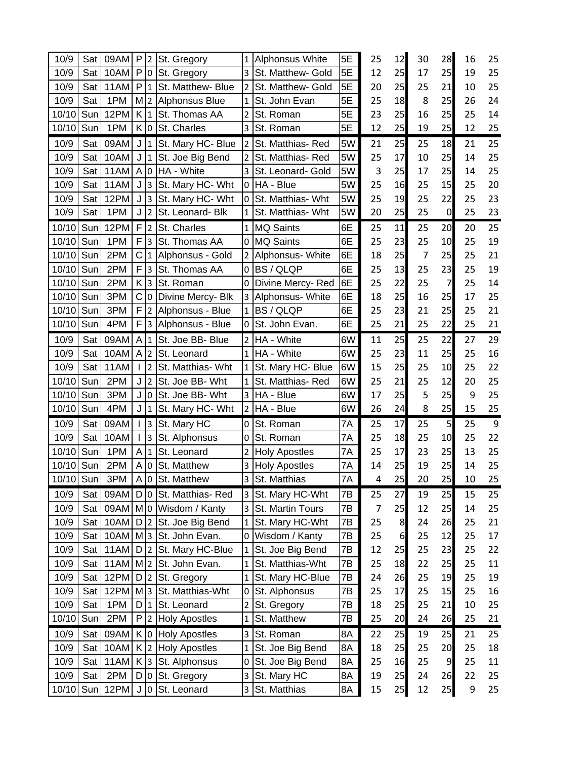| 10/9  | Sat | 09AM | P.               | 2              | St. Gregory              | $\mathbf{1}$              | Alphonsus White      | 5E | 25             | 12 | 30 | 28             | 16               | 25     |
|-------|-----|------|------------------|----------------|--------------------------|---------------------------|----------------------|----|----------------|----|----|----------------|------------------|--------|
| 10/9  | Sat | 10AM |                  |                | P O St. Gregory          | $\overline{3}$            | St. Matthew- Gold    | 5E | 12             | 25 | 17 | 25             | 19               | 25     |
| 10/9  | Sat | 11AM | P                | $\mathbf{1}$   | St. Matthew- Blue        | $\overline{2}$            | St. Matthew- Gold    | 5E | 20             | 25 | 25 | 21             | 10               | 25     |
| 10/9  | Sat | 1PM  |                  |                | M 2 Alphonsus Blue       | 1                         | St. John Evan        | 5E | 25             | 18 | 8  | 25             | 26               | 24     |
| 10/10 | Sun | 12PM | K 1              |                | St. Thomas AA            | $\overline{2}$            | St. Roman            | 5E | 23             | 25 | 16 | 25             | 25               | 14     |
| 10/10 | Sun | 1PM  | K 0              |                | St. Charles              | 3                         | St. Roman            | 5E | 12             | 25 | 19 | 25             | 12               | 25     |
| 10/9  | Sat | 09AM |                  |                | J  1   St. Mary HC- Blue | $\overline{2}$            | St. Matthias-Red     | 5W | 21             | 25 | 25 | 18             | 21               | 25     |
| 10/9  | Sat | 10AM | J                |                | 1 St. Joe Big Bend       | $\overline{2}$            | St. Matthias-Red     | 5W | 25             | 17 | 10 | 25             | 14               | 25     |
| 10/9  | Sat | 11AM | A 0              |                | HA - White               | 3                         | St. Leonard- Gold    | 5W | 3              | 25 | 17 | 25             | 14               | 25     |
| 10/9  | Sat | 11AM | J                | 3              | St. Mary HC- Wht         | 0                         | <b>HA</b> - Blue     | 5W | 25             | 16 | 25 | 15             | 25               | 20     |
| 10/9  | Sat | 12PM |                  |                | $J$ 3 St. Mary HC- Wht   | 0                         | St. Matthias- Wht    | 5W | 25             | 19 | 25 | 22             | 25               | 23     |
| 10/9  | Sat | 1PM  | J                |                | 2 St. Leonard- Blk       | 1                         | St. Matthias- Wht    | 5W | 20             | 25 | 25 | $\overline{0}$ | 25               | 23     |
| 10/10 | Sun | 12PM | F                | $\overline{2}$ | St. Charles              | $\mathbf{1}$              | <b>MQ Saints</b>     | 6E | 25             | 11 | 25 | 20             | 20               | 25     |
| 10/10 | Sun | 1PM  | F                | 3              | St. Thomas AA            | 0                         | <b>MQ Saints</b>     | 6E | 25             | 23 | 25 | 10             | 25               | 19     |
| 10/10 | Sun | 2PM  | C                | $\mathbf{1}$   | Alphonsus - Gold         | $\overline{2}$            | Alphonsus- White     | 6E | 18             | 25 | 7  | 25             | 25               | 21     |
| 10/10 | Sun | 2PM  | F                | 3              | St. Thomas AA            | 0                         | <b>BS/QLQP</b>       | 6E | 25             | 13 | 25 | 23             | 25               | 19     |
| 10/10 | Sun | 2PM  | K.               | 3              | St. Roman                | 0                         | Divine Mercy-Red     | 6E | 25             | 22 | 25 | $\overline{7}$ | 25               | 14     |
| 10/10 | Sun | 3PM  | С                |                | 0 Divine Mercy- Blk      | 3                         | Alphonsus- White     | 6E | 18             | 25 | 16 | 25             | 17               | 25     |
| 10/10 | Sun | 3PM  | F                | $\overline{2}$ | Alphonsus - Blue         | $\mathbf{1}$              | <b>BS/QLQP</b>       | 6E | 25             | 23 | 21 | 25             | 25               | 21     |
| 10/10 | Sun | 4PM  | F.               | 3              | Alphonsus - Blue         | 0                         | St. John Evan.       | 6E | 25             | 21 | 25 | 22             | 25               | 21     |
| 10/9  | Sat | 09AM | A                | $\mathbf{1}$   | St. Joe BB- Blue         | $\overline{2}$            | HA - White           | 6W | 11             | 25 | 25 | 22             | 27               | 29     |
| 10/9  | Sat | 10AM | A                | $\overline{2}$ | St. Leonard              | $\mathbf{1}$              | <b>HA</b> - White    | 6W | 25             | 23 | 11 | 25             | 25               | 16     |
| 10/9  | Sat | 11AM | $\mathsf{I}$     | $\overline{2}$ | St. Matthias- Wht        | $\mathbf{1}$              | St. Mary HC- Blue    | 6W | 15             | 25 | 25 | 10             | 25               | 22     |
| 10/10 | Sun | 2PM  | J                | $\overline{2}$ | St. Joe BB- Wht          | $\mathbf{1}$              | St. Matthias-Red     | 6W | 25             | 21 | 25 | 12             | 20               | 25     |
| 10/10 | Sun | 3PM  | J                |                | 0 St. Joe BB- Wht        | 3                         | HA - Blue            | 6W | 17             | 25 | 5  | 25             | 9                | 25     |
| 10/10 | Sun | 4PM  | J                |                | 1 St. Mary HC- Wht       | $\overline{2}$            | HA - Blue            | 6W | 26             | 24 | 8  | 25             | 15               | 25     |
| 10/9  | Sat | 09AM | $\mathbf{I}$     | 3              | St. Mary HC              | 0                         | St. Roman            | 7A | 25             | 17 | 25 | 5 <sub>l</sub> | 25               | 9      |
| 10/9  | Sat | 10AM |                  | $\overline{3}$ | St. Alphonsus            | 0                         | St. Roman            | 7A | 25             | 18 | 25 | 10             | 25               | 22     |
| 10/10 | Sun | 1PM  | A                | $\mathbf{1}$   | St. Leonard              | $\overline{2}$            | <b>Holy Apostles</b> | 7A | 25             | 17 | 23 | 25             | 13               | 25     |
| 10/10 | Sun | 2PM  | $\mathsf{A}$     | 0              | St. Matthew              | 3                         | <b>Holy Apostles</b> | 7A | 14             | 25 | 19 | 25             | 14               | 25     |
| 10/10 | Sun | 3PM  |                  | A 0            | St. Matthew              | 3                         | St. Matthias         | 7A | 4              | 25 | 20 | 25             | 10               | 25     |
| 10/9  | Sat | 09AM |                  |                | D 0 St. Matthias-Red     | 3                         | St. Mary HC-Wht      | 7B | 25             | 27 | 19 | 25             | 15               | 25     |
| 10/9  | Sat | 09AM |                  |                | Mo Wisdom / Kanty        | 3                         | St. Martin Tours     | 7B | $\overline{7}$ | 25 | 12 | 25             | 14               | 25     |
| 10/9  | Sat | 10AM | D                | $\overline{2}$ | St. Joe Big Bend         | $\mathbf{1}$              | St. Mary HC-Wht      | 7B | 25             | 8  | 24 | 26             | 25               | 21     |
| 10/9  | Sat | 10AM | M <sub>3</sub>   |                | St. John Evan.           | $\mathbf 0$               | Wisdom / Kanty       | 7B | 25             | 6  | 25 | 12             | 25               | $17\,$ |
| 10/9  | Sat | 11AM | D                | $\overline{2}$ | St. Mary HC-Blue         | $\mathbf{1}$              | St. Joe Big Bend     | 7B | 12             | 25 | 25 | 23             | 25               | 22     |
| 10/9  | Sat | 11AM | M <sub>2</sub>   |                | St. John Evan.           | $\mathbf{1}$              | St. Matthias-Wht     | 7B | 25             | 18 | 22 | 25             | 25               | 11     |
| 10/9  | Sat | 12PM | D                | $\overline{2}$ | St. Gregory              | $\mathbf{1}$              | St. Mary HC-Blue     | 7B | 24             | 26 | 25 | 19             | 25               | 19     |
| 10/9  | Sat | 12PM | M                | $\overline{3}$ | St. Matthias-Wht         | 0                         | St. Alphonsus        | 7B | 25             | 17 | 25 | 15             | 25               | 16     |
| 10/9  | Sat | 1PM  | D                | $\mathbf{1}$   | St. Leonard              | $\overline{\mathbf{c}}$   | St. Gregory          | 7B | 18             | 25 | 25 | 21             | 10               | 25     |
| 10/10 | Sun | 2PM  | P                |                | 2 Holy Apostles          | $\mathbf{1}$              | St. Matthew          | 7B | 25             | 20 | 24 | 26             | 25               | 21     |
| 10/9  | Sat | 09AM |                  |                | K 0 Holy Apostles        | $\ensuremath{\mathsf{3}}$ | St. Roman            | 8A | 22             | 25 | 19 | 25             | 21               | 25     |
| 10/9  | Sat | 10AM | K <sub>2</sub>   |                | <b>Holy Apostles</b>     | $\overline{1}$            | St. Joe Big Bend     | 8A | 18             | 25 | 25 | 20             | 25               | 18     |
| 10/9  | Sat | 11AM | $K$ <sub>3</sub> |                | St. Alphonsus            | 0                         | St. Joe Big Bend     | 8A | 25             | 16 | 25 | 9              | 25               | 11     |
| 10/9  | Sat | 2PM  | D                |                | 0 St. Gregory            | 3                         | St. Mary HC          | 8A | 19             | 25 | 24 | 26             | 22               | 25     |
| 10/10 | Sun | 12PM | J                |                | 0 St. Leonard            | 3                         | St. Matthias         | 8A | 15             | 25 | 12 | 25             | $\boldsymbol{9}$ | 25     |